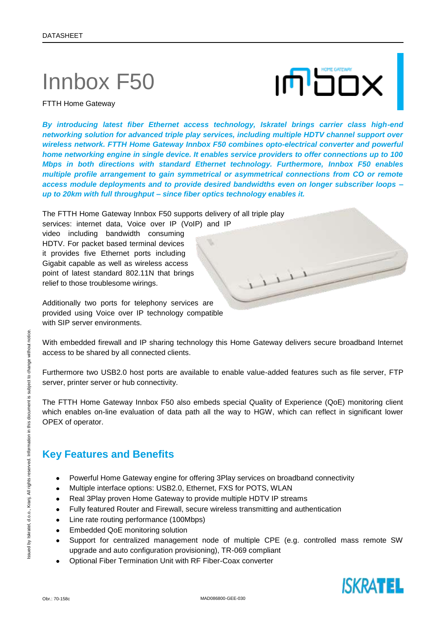# Innbox F50



FTTH Home Gateway

*By introducing latest fiber Ethernet access technology, Iskratel brings carrier class high-end networking solution for advanced triple play services, including multiple HDTV channel support over wireless network. FTTH Home Gateway Innbox F50 combines opto-electrical converter and powerful home networking engine in single device. It enables service providers to offer connections up to 100 Mbps in both directions with standard Ethernet technology. Furthermore, Innbox F50 enables multiple profile arrangement to gain symmetrical or asymmetrical connections from CO or remote access module deployments and to provide desired bandwidths even on longer subscriber loops – up to 20km with full throughput – since fiber optics technology enables it.*

The FTTH Home Gateway Innbox F50 supports delivery of all triple play

services: internet data, Voice over IP (VoIP) and IP video including bandwidth consuming HDTV. For packet based terminal devices it provides five Ethernet ports including Gigabit capable as well as wireless access point of latest standard 802.11N that brings relief to those troublesome wirings.

Additionally two ports for telephony services are provided using Voice over IP technology compatible with SIP server environments.

With embedded firewall and IP sharing technology this Home Gateway delivers secure broadband Internet access to be shared by all connected clients.

Furthermore two USB2.0 host ports are available to enable value-added features such as file server, FTP server, printer server or hub connectivity.

The FTTH Home Gateway Innbox F50 also embeds special Quality of Experience (QoE) monitoring client which enables on-line evaluation of data path all the way to HGW, which can reflect in significant lower OPEX of operator.

### **Key Features and Benefits**

- Powerful Home Gateway engine for offering 3Play services on broadband connectivity  $\bullet$
- Multiple interface options: USB2.0, Ethernet, FXS for POTS, WLAN  $\bullet$
- Real 3Play proven Home Gateway to provide multiple HDTV IP streams  $\bullet$
- Fully featured Router and Firewall, secure wireless transmitting and authentication  $\bullet$
- Line rate routing performance (100Mbps)
- Embedded QoE monitoring solution
- Support for centralized management node of multiple CPE (e.g. controlled mass remote SW upgrade and auto configuration provisioning), TR-069 compliant
- Optional Fiber Termination Unit with RF Fiber-Coax converter